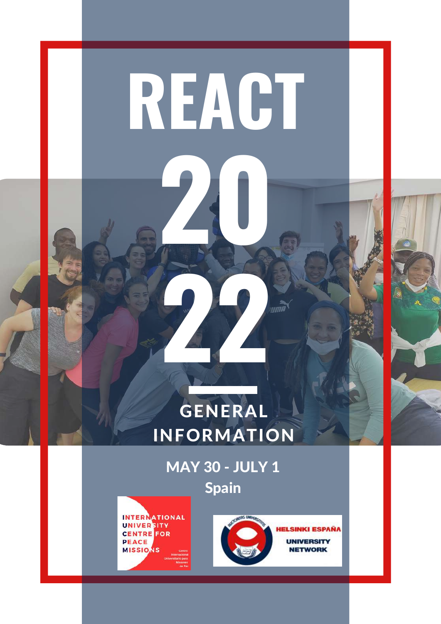

MAY 30 - JULY 1 Spain



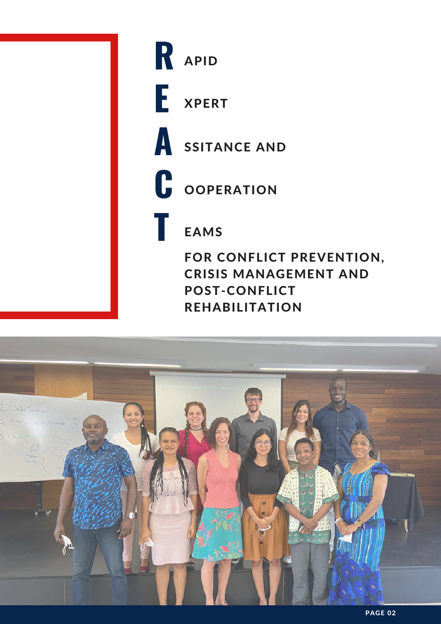

# **R E**

XPERT

APID



**C OOPERATION** 

### EAMS

**T**

FOR CONFLICT PREVENTION, CRISIS MANAGEMENT AND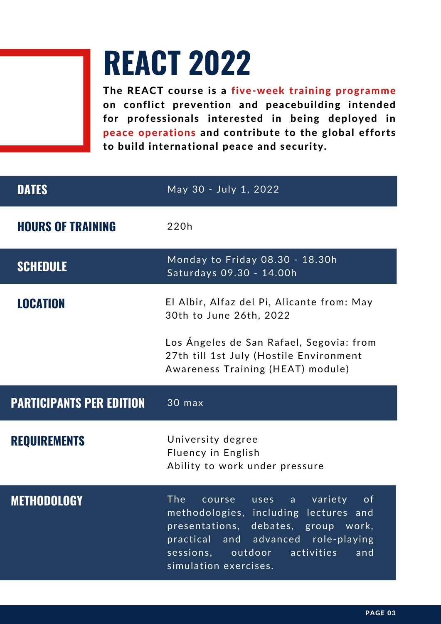## **REACT 2022**

The REACT course is a five-week training programme on conflict prevention and peacebuilding intended for professionals interested in being deployed in peace operations and contribute to the global efforts to build international peace and security.

| <b>DATES</b>                    | May 30 - July 1, 2022                                                                                                    |
|---------------------------------|--------------------------------------------------------------------------------------------------------------------------|
| <b>HOURS OF TRAINING</b>        | 220h                                                                                                                     |
| <b>SCHEDULE</b>                 | Monday to Friday 08.30 - 18.30h<br>Saturdays 09.30 - 14.00h                                                              |
| <b>LOCATION</b>                 | El Albir, Alfaz del Pi, Alicante from: May<br>30th to June 26th, 2022                                                    |
|                                 | Los Ángeles de San Rafael, Segovia: from<br>27th till 1st July (Hostile Environment<br>Awareness Training (HEAT) module) |
|                                 |                                                                                                                          |
| <b>PARTICIPANTS PER EDITION</b> | 30 max                                                                                                                   |
| <b>REQUIREMENTS</b>             | University degree<br>Fluency in English<br>Ability to work under pressure                                                |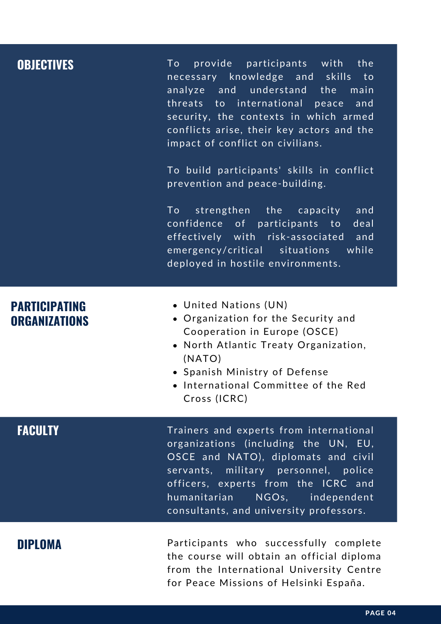| <b>OBJECTIVES</b>                            | provide participants with the<br>To l<br>necessary knowledge and skills<br>to to<br>analyze and understand the<br>main<br>threats to international peace<br>and<br>security, the contexts in which armed<br>conflicts arise, their key actors and the<br>impact of conflict on civilians.<br>To build participants' skills in conflict<br>prevention and peace-building.<br>strengthen the capacity<br>To the set of $\overline{a}$<br>and<br>confidence of participants to<br>deal<br>effectively with risk-associated and<br>emergency/critical situations<br>while<br>deployed in hostile environments. |
|----------------------------------------------|------------------------------------------------------------------------------------------------------------------------------------------------------------------------------------------------------------------------------------------------------------------------------------------------------------------------------------------------------------------------------------------------------------------------------------------------------------------------------------------------------------------------------------------------------------------------------------------------------------|
| <b>PARTICIPATING</b><br><b>ORGANIZATIONS</b> | • United Nations (UN)<br>• Organization for the Security and<br>Cooperation in Europe (OSCE)<br>• North Atlantic Treaty Organization,<br>(NATO)<br>• Spanish Ministry of Defense<br>• International Committee of the Red<br>Cross (ICRC)                                                                                                                                                                                                                                                                                                                                                                   |
| <b>FACULTY</b>                               | Trainers and experts from international<br>organizations (including the UN, EU,<br>OSCE and NATO), diplomats and civil<br>servants, military personnel, police<br>officers, experts from the ICRC and<br>humanitarian<br>NGOs, independent<br>consultants, and university professors.                                                                                                                                                                                                                                                                                                                      |
| <b>DIPLOMA</b>                               | Participants who successfully complete<br>the course will obtain an official diploma<br>from the International University Centre                                                                                                                                                                                                                                                                                                                                                                                                                                                                           |

for Peace Missions of Helsinki España.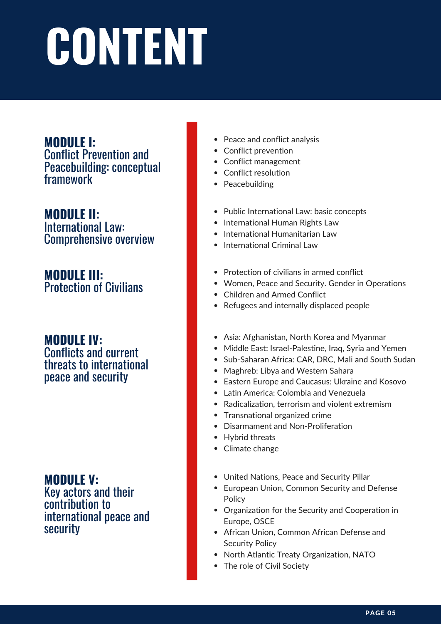# **CONTENT**

#### **MODULE I:**

Conflict Prevention and Peacebuilding: conceptual framework

**MODULE II:** International Law: Comprehensive overview

**MODULE III:** Protection of Civilians

#### **MODULE IV:** Conflicts and current

threats to international peace and security

**MODULE V:** Key actors and their contribution to international peace and security

- Peace and conflict analysis
- Conflict prevention
- Conflict management
- Conflict resolution
- Peacebuilding
- Public International Law: basic concepts
- International Human Rights Law
- International Humanitarian Law
- International Criminal Law
- Protection of civilians in armed conflict
- Women, Peace and Security. Gender in Operations
- Children and Armed Conflict
- Refugees and internally displaced people
- Asia: Afghanistan, North Korea and Myanmar
- Middle East: Israel-Palestine, Iraq, Syria and Yemen
- Sub-Saharan Africa: CAR, DRC, Mali and South Sudan
- Maghreb: Libya and Western Sahara
- Eastern Europe and Caucasus: Ukraine and Kosovo
- Latin America: Colombia and Venezuela
- Radicalization, terrorism and violent extremism
- Transnational organized crime
- Disarmament and Non-Proliferation
- Hybrid threats
- Climate change
- United Nations, Peace and Security Pillar
- European Union, Common Security and Defense **Policy**
- Organization for the Security and Cooperation in Europe, OSCE
- African Union, Common African Defense and Security Policy
- North Atlantic Treaty Organization, NATO
- The role of Civil Society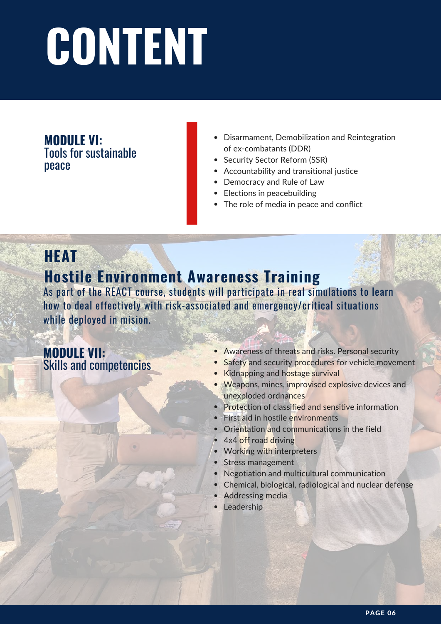# **CONTENT**

**MODULE VI:** Tools for sustainable peace

- Disarmament, Demobilization and Reintegration of ex-combatants (DDR)
- Security Sector Reform (SSR)
- Accountability and transitional justice
- Democracy and Rule of Law
- Elections in peacebuilding
- The role of media in peace and conflict

#### **HEAT**

#### **Hostile Environment Awareness Training**

As part of the REACT course, students will participate in real simulations to learn how to deal effectively with risk-associated and emergency/critical situations while deployed in mision.

#### **MODULE VII:** Skills and competencies

- Awareness of threats and risks. Personal security
- Safety and security procedures for vehicle movement  $\bullet$
- Kidnapping and hostage survival
- **Weapons, mines, improvised explosive devices and** unexploded ordnances
- Protection of classified and sensitive information
- First aid in hostile environments
- Orientation and communications in the field
- 4x4 off road driving
- Working with interpreters  $\bullet$
- Stress management
- Negotiation and multicultural communication
- Chemical, biological, radiological and nuclear defense
- Addressing media
- Leadership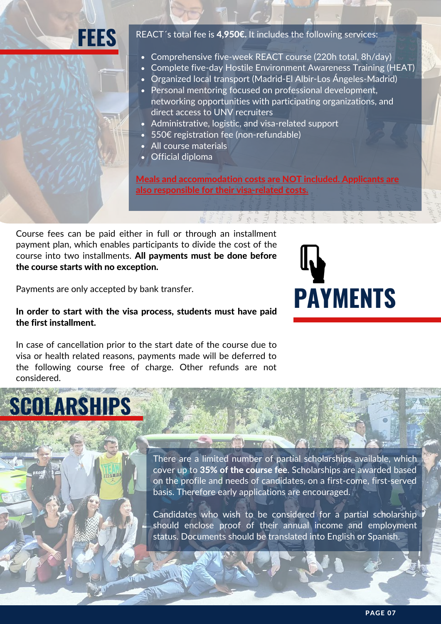## **FEES**

REACT<sup>'</sup>s total fee is 4,950€. It includes the following services:

- Comprehensive five-week REACT course (220h total, 8h/day)
- Complete five-day Hostile Environment Awareness Training (HEAT)
- Organized local transport (Madrid-El Albir-Los Ángeles-Madrid)
- Personal mentoring focused on professional development, networking opportunities with participating organizations, and direct access to UNV recruiters
- Administrative, logistic, and visa-related support
- 550€ registration fee (non-refundable)
- All course materials
- Official diploma

Meals and accommodation costs are NOT included. Applicants are also responsible for their visa-related costs.

Course fees can be paid either in full or through an installment payment plan, which enables participants to divide the cost of the course into two installments. All payments must be done before the course starts with no exception.



Payments are only accepted by bank transfer.

**SCOLARSHIPS**

#### In order to start with the visa process, students must have paid the first installment.

In case of cancellation prior to the start date of the course due to visa or health related reasons, payments made will be deferred to the following course free of charge. Other refunds are not considered.

#### There are a limited number of partial scholarships available, which cover up to 35% of the course fee. Scholarships are awarded based on the profile and needs of candidates, on a first-come, first-served basis. Therefore early applications are encouraged.

Candidates who wish to be considered for a partial scholarship should enclose proof of their annual income and employment status. Documents should be translated into English or Spanish.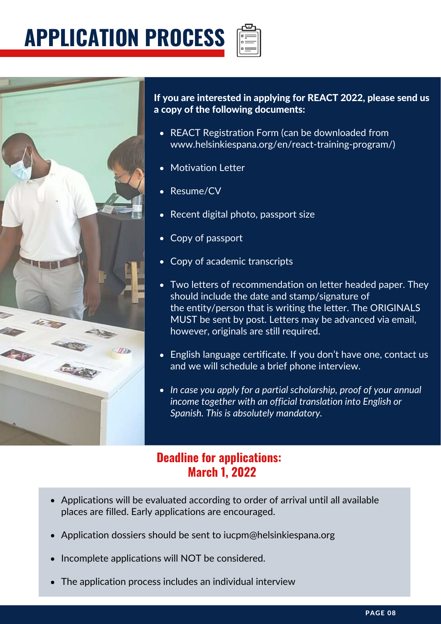## **APPLICATION PROCESS**



If you are interested in applying for REACT 2022, please send us a copy of the following documents:

- REACT Registration Form (can be downloaded from www.helsinkiespana.org/en/react-training-program/)
- Motivation Letter
- Resume/CV
- Recent digital photo, passport size
- Copy of passport
- Copy of academic transcripts
- Two letters of recommendation on letter headed paper. They should include the date and stamp/signature of the entity/person that is writing the letter. The ORIGINALS MUST be sent by post. Letters may be advanced via email, however, originals are still required.
- English language certificate. If you don't have one, contact us and we will schedule a brief phone interview.
- *In case you apply for a partial scholarship, proof of your annual income together with an official translation into English or Spanish. This is absolutely mandatory.*

#### **Deadline for applications: March 1, 2022**

- Applications will be evaluated according to order of arrival until all available places are filled. Early applications are encouraged.
- Application dossiers should be sent to iucpm@helsinkiespana.org
- Incomplete applications will NOT be considered.
- The application process includes an individual interview